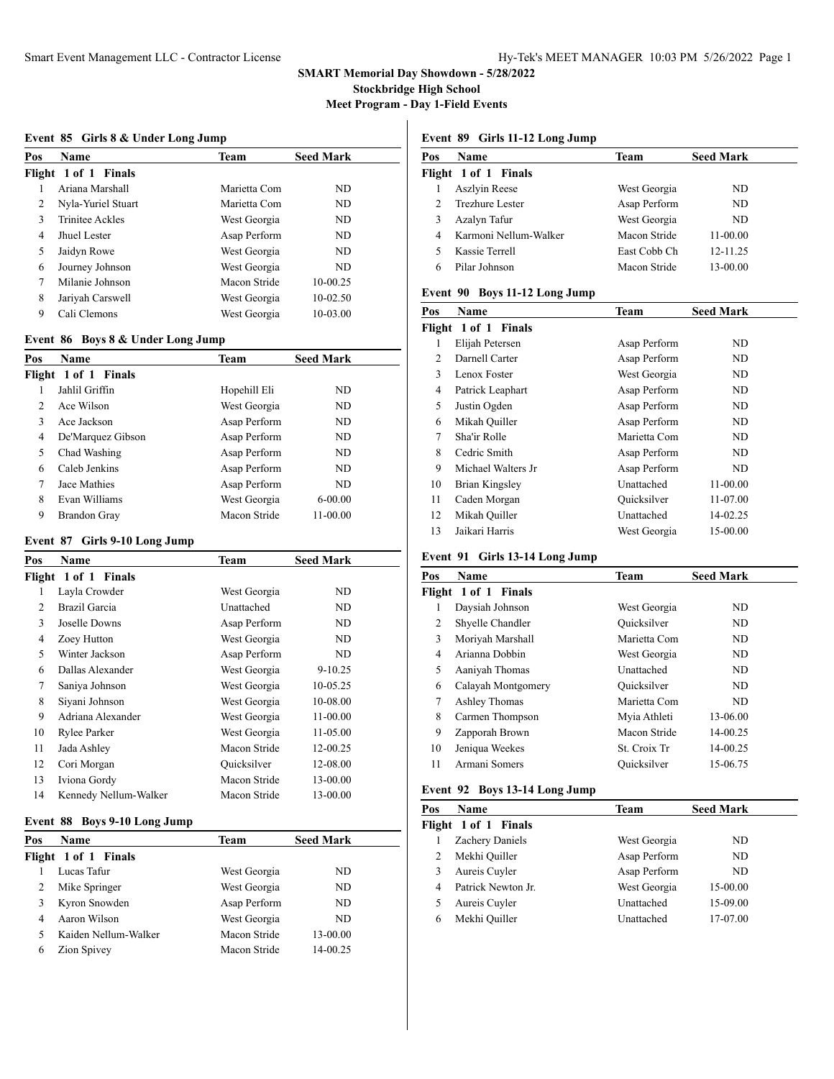# **SMART Memorial Day Showdown - 5/28/2022 Stockbridge High School**

**Meet Program - Day 1-Field Events**

#### **Event 85 Girls 8 & Under Long Jump**

| Pos | <b>Name</b>            | Team         | <b>Seed Mark</b> |
|-----|------------------------|--------------|------------------|
|     | Flight 1 of 1 Finals   |              |                  |
|     | Ariana Marshall        | Marietta Com | ND.              |
| 2   | Nyla-Yuriel Stuart     | Marietta Com | ND.              |
| 3   | <b>Trinitee Ackles</b> | West Georgia | ND.              |
| 4   | Jhuel Lester           | Asap Perform | ND.              |
| 5   | Jaidyn Rowe            | West Georgia | ND.              |
| 6   | Journey Johnson        | West Georgia | ND.              |
| 7   | Milanie Johnson        | Macon Stride | 10-00.25         |
| 8   | Jariyah Carswell       | West Georgia | $10-02.50$       |
| 9   | Cali Clemons           | West Georgia | 10-03.00         |

# **Event 86 Boys 8 & Under Long Jump**

| Pos           | <b>Name</b>          | Team         | <b>Seed Mark</b> |
|---------------|----------------------|--------------|------------------|
|               | Flight 1 of 1 Finals |              |                  |
|               | Jahlil Griffin       | Hopehill Eli | ND.              |
| $\mathcal{L}$ | Ace Wilson           | West Georgia | ND               |
| 3             | Ace Jackson          | Asap Perform | ND               |
| 4             | De'Marquez Gibson    | Asap Perform | ND               |
| 5             | Chad Washing         | Asap Perform | ND               |
| 6             | Caleb Jenkins        | Asap Perform | ND.              |
| 7             | Jace Mathies         | Asap Perform | ND.              |
| 8             | Evan Williams        | West Georgia | $6 - 00.00$      |
| 9             | <b>Brandon Gray</b>  | Macon Stride | 11-00.00         |

#### **Event 87 Girls 9-10 Long Jump**

| Pos            | Name                  | Team         | <b>Seed Mark</b> |
|----------------|-----------------------|--------------|------------------|
|                | Flight 1 of 1 Finals  |              |                  |
| 1              | Layla Crowder         | West Georgia | ND               |
| 2              | Brazil Garcia         | Unattached   | ND               |
| 3              | Joselle Downs         | Asap Perform | ND               |
| 4              | Zoey Hutton           | West Georgia | ND               |
| 5              | Winter Jackson        | Asap Perform | ND               |
| 6              | Dallas Alexander      | West Georgia | $9 - 10.25$      |
| $\overline{7}$ | Saniya Johnson        | West Georgia | 10-05.25         |
| 8              | Siyani Johnson        | West Georgia | 10-08.00         |
| 9              | Adriana Alexander     | West Georgia | 11-00.00         |
| 10             | Rylee Parker          | West Georgia | 11-05.00         |
| 11             | Jada Ashley           | Macon Stride | 12-00.25         |
| 12             | Cori Morgan           | Quicksilver  | 12-08.00         |
| 13             | Iviona Gordy          | Macon Stride | 13-00.00         |
| 14             | Kennedy Nellum-Walker | Macon Stride | 13-00.00         |
|                |                       |              |                  |

# **Event 88 Boys 9-10 Long Jump**

| Pos | <b>Name</b>          | Team         | <b>Seed Mark</b> |  |
|-----|----------------------|--------------|------------------|--|
|     | Flight 1 of 1 Finals |              |                  |  |
|     | Lucas Tafur          | West Georgia | ND               |  |
|     | Mike Springer        | West Georgia | ND               |  |
|     | Kyron Snowden        | Asap Perform | ND               |  |
|     | Aaron Wilson         | West Georgia | ND.              |  |
|     | Kaiden Nellum-Walker | Macon Stride | 13-00.00         |  |
| 6   | Zion Spivey          | Macon Stride | 14-00.25         |  |
|     |                      |              |                  |  |

# **Event 89 Girls 11-12 Long Jump**

| Pos | Name                  | Team         | <b>Seed Mark</b> |
|-----|-----------------------|--------------|------------------|
|     | Flight 1 of 1 Finals  |              |                  |
|     | Aszlyin Reese         | West Georgia | ND.              |
|     | Trezhure Lester       | Asap Perform | ND.              |
| 3   | Azalyn Tafur          | West Georgia | ND.              |
| 4   | Karmoni Nellum-Walker | Macon Stride | 11-00.00         |
|     | Kassie Terrell        | East Cobb Ch | 12-11.25         |
|     | Pilar Johnson         | Macon Stride | 13-00.00         |
|     |                       |              |                  |

# **Event 90 Boys 11-12 Long Jump**

| Pos | Name                 | Team         | <b>Seed Mark</b> |
|-----|----------------------|--------------|------------------|
|     | Flight 1 of 1 Finals |              |                  |
| 1   | Elijah Petersen      | Asap Perform | ND               |
| 2   | Darnell Carter       | Asap Perform | ND               |
| 3   | Lenox Foster         | West Georgia | ND               |
| 4   | Patrick Leaphart     | Asap Perform | ND               |
| 5   | Justin Ogden         | Asap Perform | ND               |
| 6   | Mikah Quiller        | Asap Perform | ND               |
| 7   | Sha'ir Rolle         | Marietta Com | ND               |
| 8   | Cedric Smith         | Asap Perform | ND               |
| 9   | Michael Walters Jr   | Asap Perform | ND               |
| 10  | Brian Kingsley       | Unattached   | 11-00.00         |
| 11  | Caden Morgan         | Quicksilver  | 11-07.00         |
| 12  | Mikah Quiller        | Unattached   | 14-02.25         |
| 13  | Jaikari Harris       | West Georgia | 15-00.00         |

#### **Event 91 Girls 13-14 Long Jump**

| Pos | Name                 | Team         | <b>Seed Mark</b> |
|-----|----------------------|--------------|------------------|
|     | Flight 1 of 1 Finals |              |                  |
|     | Daysiah Johnson      | West Georgia | ND               |
| 2   | Shyelle Chandler     | Ouicksilver  | ND               |
| 3   | Moriyah Marshall     | Marietta Com | ND               |
| 4   | Arianna Dobbin       | West Georgia | ND               |
| 5   | Aaniyah Thomas       | Unattached   | ND               |
| 6   | Calayah Montgomery   | Quicksilver  | ND               |
| 7   | Ashley Thomas        | Marietta Com | ND               |
| 8   | Carmen Thompson      | Myia Athleti | 13-06.00         |
| 9   | Zapporah Brown       | Macon Stride | 14-00.25         |
| 10  | Jeniqua Weekes       | St. Croix Tr | 14-00.25         |
| 11  | Armani Somers        | Ouicksilver  | 15-06.75         |
|     |                      |              |                  |

#### **Event 92 Boys 13-14 Long Jump**

| Pos | <b>Name</b>          | Team         | <b>Seed Mark</b> |
|-----|----------------------|--------------|------------------|
|     | Flight 1 of 1 Finals |              |                  |
|     | Zachery Daniels      | West Georgia | ND.              |
|     | Mekhi Quiller        | Asap Perform | ND               |
|     | Aureis Cuyler        | Asap Perform | ND               |
| 4   | Patrick Newton Jr.   | West Georgia | 15-00.00         |
|     | Aureis Cuyler        | Unattached   | 15-09.00         |
| 6   | Mekhi Quiller        | Unattached   | 17-07.00         |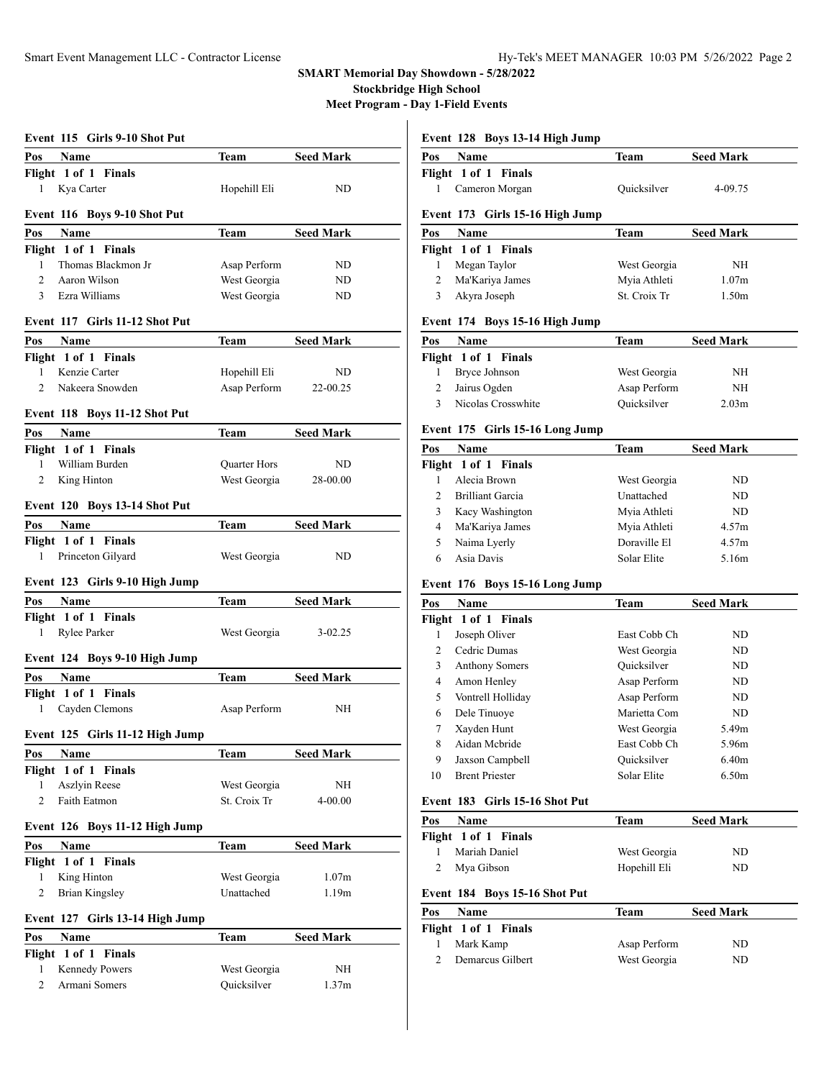# **SMART Memorial Day Showdown - 5/28/2022**

**Stockbridge High School**

**Meet Program - Day 1-Field Events**

| Event 115 Girls 9-10 Shot Put               |              |                   |  |
|---------------------------------------------|--------------|-------------------|--|
| Pos<br><b>Name</b>                          | Team         | <b>Seed Mark</b>  |  |
| Flight 1 of 1 Finals                        |              |                   |  |
| Kya Carter<br>1                             | Hopehill Eli | ND                |  |
|                                             |              |                   |  |
| Event 116 Boys 9-10 Shot Put                |              |                   |  |
| Pos<br>Name                                 | Team         | <b>Seed Mark</b>  |  |
| Flight 1 of 1 Finals                        |              |                   |  |
| Thomas Blackmon Jr<br>1                     | Asap Perform | ND                |  |
| $\overline{2}$<br>Aaron Wilson              | West Georgia | ND                |  |
| 3 Ezra Williams                             | West Georgia | ND                |  |
| Event 117 Girls 11-12 Shot Put              |              |                   |  |
| Pos<br>Name                                 | Team         | <b>Seed Mark</b>  |  |
| Flight 1 of 1 Finals                        |              |                   |  |
| Kenzie Carter<br>1                          | Hopehill Eli | ND                |  |
| Nakeera Snowden<br>2                        | Asap Perform | 22-00.25          |  |
| Event 118 Boys 11-12 Shot Put               |              |                   |  |
|                                             |              |                   |  |
| Name<br>Pos                                 | Team         | <b>Seed Mark</b>  |  |
| Flight 1 of 1 Finals                        |              |                   |  |
| 1<br>William Burden                         | Quarter Hors | ND                |  |
| 2<br>King Hinton                            | West Georgia | 28-00.00          |  |
| Event 120 Boys 13-14 Shot Put               |              |                   |  |
| Pos<br>Name                                 | Team         | <b>Seed Mark</b>  |  |
| Flight 1 of 1 Finals                        |              |                   |  |
| Princeton Gilyard<br>1                      | West Georgia | ND                |  |
| Event 123 Girls 9-10 High Jump              |              |                   |  |
| Pos<br>Name                                 | Team         | <b>Seed Mark</b>  |  |
| Flight 1 of 1 Finals                        |              |                   |  |
| Rylee Parker<br>1                           | West Georgia | $3 - 02.25$       |  |
|                                             |              |                   |  |
| Event 124 Boys 9-10 High Jump               |              |                   |  |
|                                             |              |                   |  |
| Pos<br><b>Name</b>                          | Team         | <b>Seed Mark</b>  |  |
|                                             |              |                   |  |
| Flight 1 of 1 Finals<br>Cayden Clemons<br>1 | Asap Perform | NH                |  |
|                                             |              |                   |  |
| Event 125 Girls 11-12 High Jump             |              |                   |  |
| Name<br>Pos                                 | Team         | <b>Seed Mark</b>  |  |
| Flight 1 of 1 Finals                        |              |                   |  |
| Aszlyin Reese<br>1                          | West Georgia | NΗ                |  |
| $\overline{c}$<br>Faith Eatmon              | St. Croix Tr | 4-00.00           |  |
| Event 126 Boys 11-12 High Jump              |              |                   |  |
| <b>Name</b><br>Pos                          | <b>Team</b>  | <b>Seed Mark</b>  |  |
| Flight 1 of 1 Finals                        |              |                   |  |
| King Hinton<br>1                            | West Georgia | 1.07 <sub>m</sub> |  |
| $\overline{c}$<br><b>Brian Kingsley</b>     | Unattached   | 1.19m             |  |
| Event 127 Girls 13-14 High Jump             |              |                   |  |
| Pos<br>Name                                 | Team         | <b>Seed Mark</b>  |  |
| Flight 1 of 1 Finals                        |              |                   |  |
| Kennedy Powers<br>1                         | West Georgia | NΗ                |  |

# **Event 128 Boys 13-14 High Jump**

| Pos | <b>Name</b>          | Team        | <b>Seed Mark</b> |
|-----|----------------------|-------------|------------------|
|     | Flight 1 of 1 Finals |             |                  |
|     | Cameron Morgan       | Quicksilver | 4-09.75          |

#### **Event 173 Girls 15-16 High Jump**

| Pos | <b>Name</b>          | Team         | <b>Seed Mark</b> |
|-----|----------------------|--------------|------------------|
|     | Flight 1 of 1 Finals |              |                  |
|     | Megan Taylor         | West Georgia | NH               |
|     | Ma'Kariya James      | Myia Athleti | 1.07m            |
|     | Akyra Joseph         | St. Croix Tr | 1.50m            |

# **Event 174 Boys 15-16 High Jump**

| Pos | Name                 | Team         | <b>Seed Mark</b>  |
|-----|----------------------|--------------|-------------------|
|     | Flight 1 of 1 Finals |              |                   |
|     | Bryce Johnson        | West Georgia | NΗ                |
|     | Jairus Ogden         | Asap Perform | NH                |
|     | Nicolas Crosswhite   | Quicksilver  | 2.03 <sub>m</sub> |

# **Event 175 Girls 15-16 Long Jump**

| Pos | <b>Name</b>          | Team         | <b>Seed Mark</b> |
|-----|----------------------|--------------|------------------|
|     | Flight 1 of 1 Finals |              |                  |
|     | Alecia Brown         | West Georgia | ND               |
|     | Brilliant Garcia     | Unattached   | ND               |
|     | Kacy Washington      | Myia Athleti | ND               |
| 4   | Ma'Kariya James      | Mvia Athleti | 4.57m            |
|     | Naima Lyerly         | Doraville El | 4.57m            |
| 6   | Asia Davis           | Solar Elite  | 5.16m            |

# **Event 176 Boys 15-16 Long Jump**

| Pos | Name                  | Team         | <b>Seed Mark</b>  |
|-----|-----------------------|--------------|-------------------|
|     | Flight 1 of 1 Finals  |              |                   |
| 1   | Joseph Oliver         | East Cobb Ch | ND                |
| 2   | Cedric Dumas          | West Georgia | ND                |
| 3   | <b>Anthony Somers</b> | Ouicksilver  | ND                |
| 4   | Amon Henley           | Asap Perform | ND                |
| 5   | Vontrell Holliday     | Asap Perform | ND                |
| 6   | Dele Tinuoye          | Marietta Com | ND                |
| 7   | Xayden Hunt           | West Georgia | 5.49m             |
| 8   | Aidan Mcbride         | East Cobb Ch | 5.96m             |
| 9   | Jaxson Campbell       | Ouicksilver  | 6.40m             |
| 10  | <b>Brent Priester</b> | Solar Elite  | 6.50 <sub>m</sub> |
|     |                       |              |                   |

#### **Event 183 Girls 15-16 Shot Put**

| Pos | <b>Name</b>                           | <b>Team</b>  | <b>Seed Mark</b> |
|-----|---------------------------------------|--------------|------------------|
|     | Flight 1 of 1 Finals                  |              |                  |
|     | Mariah Daniel                         | West Georgia | ND               |
| 2   | Mya Gibson                            | Hopehill Eli | ND               |
| Pos | Event 184 Boys 15-16 Shot Put<br>Name | <b>Team</b>  | <b>Seed Mark</b> |
|     | Flight 1 of 1 Finals                  |              |                  |
|     | Mark Kamp                             | Asap Perform | ND               |
|     | Demarcus Gilbert                      | West Georgia | ND               |